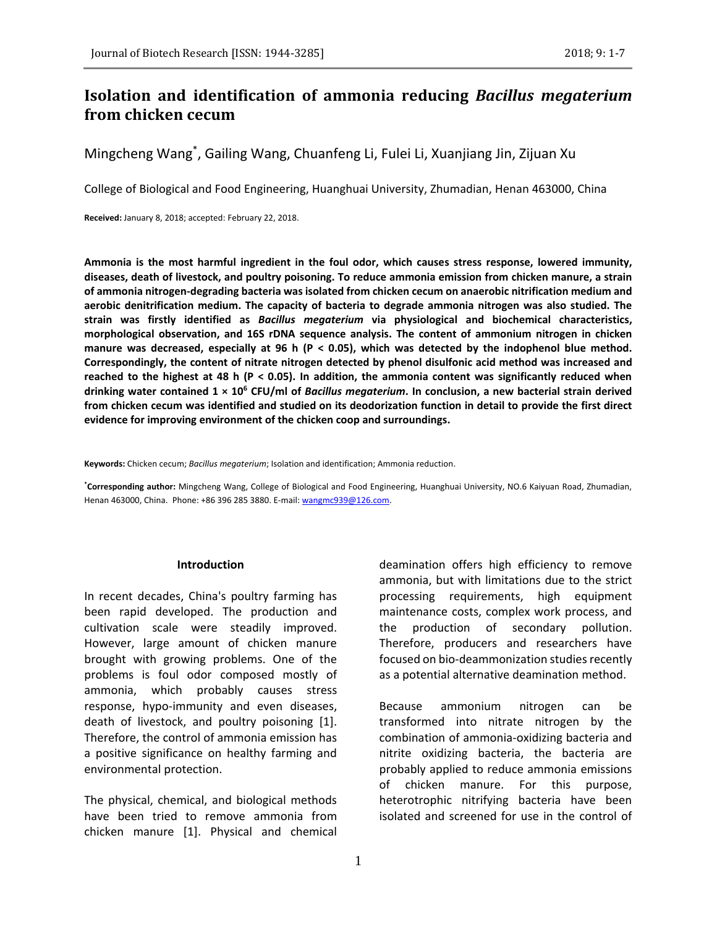# **Isolation and identification of ammonia reducing** *Bacillus megaterium* **from chicken cecum**

Mingcheng Wang<sup>\*</sup>, Gailing Wang, Chuanfeng Li, Fulei Li, Xuanjiang Jin, Zijuan Xu

College of Biological and Food Engineering, Huanghuai University, Zhumadian, Henan 463000, China

**Received:** January 8, 2018; accepted: February 22, 2018.

**Ammonia is the most harmful ingredient in the foul odor, which causes stress response, lowered immunity, diseases, death of livestock, and poultry poisoning. To reduce ammonia emission from chicken manure, a strain of ammonia nitrogen-degrading bacteria was isolated from chicken cecum on anaerobic nitrification medium and aerobic denitrification medium. The capacity of bacteria to degrade ammonia nitrogen was also studied. The strain was firstly identified as** *Bacillus megaterium* **via physiological and biochemical characteristics, morphological observation, and 16S rDNA sequence analysis. The content of ammonium nitrogen in chicken manure was decreased, especially at 96 h (P < 0.05), which was detected by the indophenol blue method. Correspondingly, the content of nitrate nitrogen detected by phenol disulfonic acid method was increased and reached to the highest at 48 h (P < 0.05). In addition, the ammonia content was significantly reduced when drinking water contained 1 × 10<sup>6</sup> CFU/ml of** *Bacillus megaterium***. In conclusion, a new bacterial strain derived from chicken cecum was identified and studied on its deodorization function in detail to provide the first direct evidence for improving environment of the chicken coop and surroundings.**

**Keywords:** Chicken cecum; *Bacillus megaterium*; Isolation and identification; Ammonia reduction.

**\*Corresponding author:** Mingcheng Wang, College of Biological and Food Engineering, Huanghuai University, NO.6 Kaiyuan Road, Zhumadian, Henan 463000, China. Phone: +86 396 285 3880. E-mail[: wangmc939@126.com.](mailto:wangmc939@126.com)

#### **Introduction**

In recent decades, China's poultry farming has been rapid developed. The production and cultivation scale were steadily improved. However, large amount of chicken manure brought with growing problems. One of the problems is foul odor composed mostly of ammonia, which probably causes stress response, hypo-immunity and even diseases, death of livestock, and poultry poisoning [1]. Therefore, the control of ammonia emission has a positive significance on healthy farming and environmental protection.

The physical, chemical, and biological methods have been tried to remove ammonia from chicken manure [1]. Physical and chemical deamination offers high efficiency to remove ammonia, but with limitations due to the strict processing requirements, high equipment maintenance costs, complex work process, and the production of secondary pollution. Therefore, producers and researchers have focused on bio-deammonization studies recently as a potential alternative deamination method.

Because ammonium nitrogen can be transformed into nitrate nitrogen by the combination of ammonia-oxidizing bacteria and nitrite oxidizing bacteria, the bacteria are probably applied to reduce ammonia emissions of chicken manure. For this purpose, heterotrophic nitrifying bacteria have been isolated and screened for use in the control of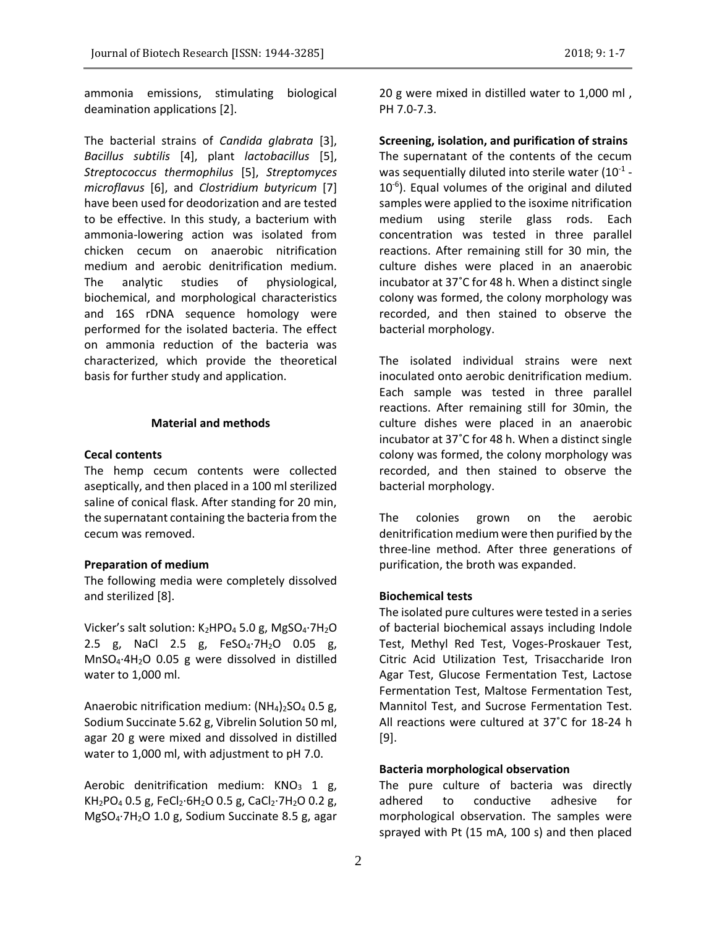ammonia emissions, stimulating biological deamination applications [2].

The bacterial strains of *Candida glabrata* [3], *Bacillus subtilis* [4], plant *lactobacillus* [5], *Streptococcus thermophilus* [5], *Streptomyces microflavus* [6], and *Clostridium butyricum* [7] have been used for deodorization and are tested to be effective. In this study, a bacterium with ammonia-lowering action was isolated from chicken cecum on anaerobic nitrification medium and aerobic denitrification medium. The analytic studies of physiological, biochemical, and morphological characteristics and 16S rDNA sequence homology were performed for the isolated bacteria. The effect on ammonia reduction of the bacteria was characterized, which provide the theoretical basis for further study and application.

### **Material and methods**

### **Cecal contents**

The hemp cecum contents were collected aseptically, and then placed in a 100 ml sterilized saline of conical flask. After standing for 20 min, the supernatant containing the bacteria from the cecum was removed.

#### **Preparation of medium**

The following media were completely dissolved and sterilized [8].

Vicker's salt solution:  $K_2HPO_4$  5.0 g, MgSO<sub>4</sub>.7H<sub>2</sub>O 2.5 g, NaCl 2.5 g, FeSO<sub>4</sub>·7H<sub>2</sub>O 0.05 g, MnSO4·4H2O 0.05 g were dissolved in distilled water to 1,000 ml.

Anaerobic nitrification medium:  $(NH_4)_2SO_4$  0.5 g, Sodium Succinate 5.62 g, Vibrelin Solution 50 ml, agar 20 g were mixed and dissolved in distilled water to 1,000 ml, with adjustment to pH 7.0.

Aerobic denitrification medium:  $KNO<sub>3</sub>$  1 g,  $KH<sub>2</sub>PO<sub>4</sub>$  0.5 g, FeCl<sub>2</sub>·6H<sub>2</sub>O 0.5 g, CaCl<sub>2</sub>·7H<sub>2</sub>O 0.2 g, MgSO4·7H2O 1.0 g, Sodium Succinate 8.5 g, agar 20 g were mixed in distilled water to 1,000 ml , PH 7.0-7.3.

**Screening, isolation, and purification of strains** The supernatant of the contents of the cecum was sequentially diluted into sterile water (10 $^{-1}$  -10<sup>-6</sup>). Equal volumes of the original and diluted samples were applied to the isoxime nitrification medium using sterile glass rods. Each concentration was tested in three parallel reactions. After remaining still for 30 min, the culture dishes were placed in an anaerobic incubator at 37˚C for 48 h. When a distinct single colony was formed, the colony morphology was recorded, and then stained to observe the bacterial morphology.

The isolated individual strains were next inoculated onto aerobic denitrification medium. Each sample was tested in three parallel reactions. After remaining still for 30min, the culture dishes were placed in an anaerobic incubator at 37˚C for 48 h. When a distinct single colony was formed, the colony morphology was recorded, and then stained to observe the bacterial morphology.

The colonies grown on the aerobic denitrification medium were then purified by the three-line method. After three generations of purification, the broth was expanded.

#### **Biochemical tests**

The isolated pure cultures were tested in a series of bacterial biochemical assays including Indole Test, Methyl Red Test, Voges-Proskauer Test, Citric Acid Utilization Test, Trisaccharide Iron Agar Test, Glucose Fermentation Test, Lactose Fermentation Test, Maltose Fermentation Test, Mannitol Test, and Sucrose Fermentation Test. All reactions were cultured at 37˚C for 18-24 h [9].

### **Bacteria morphological observation**

The pure culture of bacteria was directly adhered to conductive adhesive for morphological observation. The samples were sprayed with Pt (15 mA, 100 s) and then placed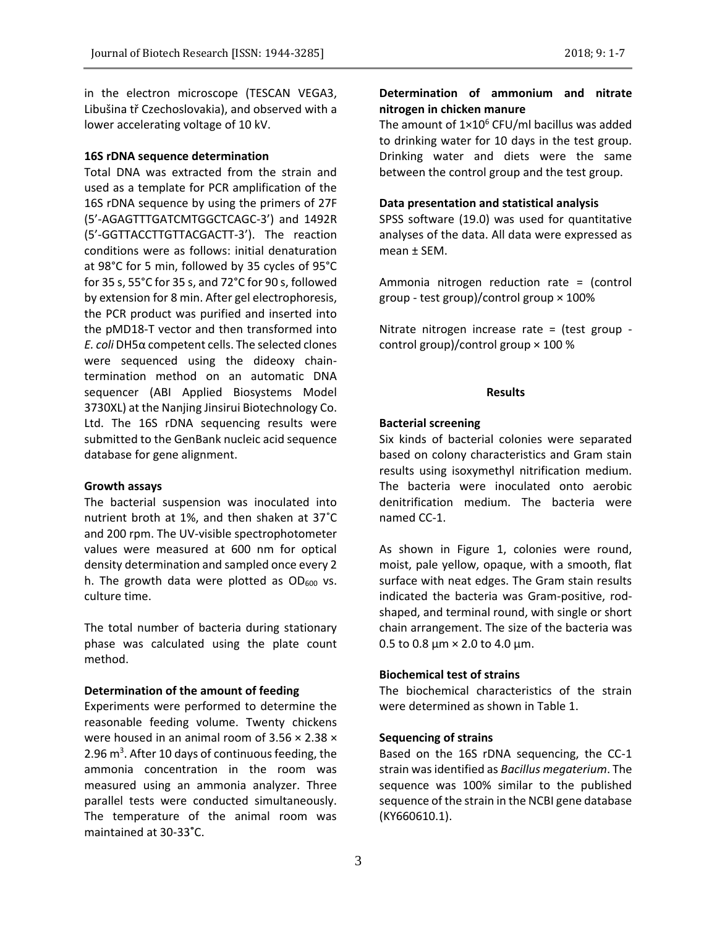in the electron microscope (TESCAN VEGA3, Libušina tř Czechoslovakia), and observed with a lower accelerating voltage of 10 kV.

#### **16S rDNA sequence determination**

Total DNA was extracted from the strain and used as a template for PCR amplification of the 16S rDNA sequence by using the primers of 27F (5'-AGAGTTTGATCMTGGCTCAGC-3') and 1492R (5'-GGTTACCTTGTTACGACTT-3'). The reaction conditions were as follows: initial denaturation at 98°C for 5 min, followed by 35 cycles of 95°C for 35 s, 55°C for 35 s, and 72°C for 90 s, followed by extension for 8 min. After gel electrophoresis, the PCR product was purified and inserted into the pMD18-T vector and then transformed into *E. coli* DH5α competent cells. The selected clones were sequenced using the dideoxy chaintermination method on an automatic DNA sequencer (ABI Applied Biosystems Model 3730XL) at the Nanjing Jinsirui Biotechnology Co. Ltd. The 16S rDNA sequencing results were submitted to the GenBank nucleic acid sequence database for gene alignment.

#### **Growth assays**

The bacterial suspension was inoculated into nutrient broth at 1%, and then shaken at 37˚C and 200 rpm. The UV-visible spectrophotometer values were measured at 600 nm for optical density determination and sampled once every 2 h. The growth data were plotted as  $OD_{600}$  vs. culture time.

The total number of bacteria during stationary phase was calculated using the plate count method.

#### **Determination of the amount of feeding**

Experiments were performed to determine the reasonable feeding volume. Twenty chickens were housed in an animal room of 3.56 × 2.38 × 2.96 m<sup>3</sup>. After 10 days of continuous feeding, the ammonia concentration in the room was measured using an ammonia analyzer. Three parallel tests were conducted simultaneously. The temperature of the animal room was maintained at 30-33**˚**C.

# **Determination of ammonium and nitrate nitrogen in chicken manure**

The amount of  $1\times10^6$  CFU/ml bacillus was added to drinking water for 10 days in the test group. Drinking water and diets were the same between the control group and the test group.

#### **Data presentation and statistical analysis**

SPSS software (19.0) was used for quantitative analyses of the data. All data were expressed as mean ± SEM.

Ammonia nitrogen reduction rate = (control group - test group)/control group × 100%

Nitrate nitrogen increase rate = (test group control group)/control group  $\times$  100 %

#### **Results**

### **Bacterial screening**

Six kinds of bacterial colonies were separated based on colony characteristics and Gram stain results using isoxymethyl nitrification medium. The bacteria were inoculated onto aerobic denitrification medium. The bacteria were named CC-1.

As shown in Figure 1, colonies were round, moist, pale yellow, opaque, with a smooth, flat surface with neat edges. The Gram stain results indicated the bacteria was Gram-positive, rodshaped, and terminal round, with single or short chain arrangement. The size of the bacteria was 0.5 to 0.8 μm  $\times$  2.0 to 4.0 μm.

# **Biochemical test of strains**

The biochemical characteristics of the strain were determined as shown in Table 1.

### **Sequencing of strains**

Based on the 16S rDNA sequencing, the CC-1 strain was identified as *Bacillus megaterium*. The sequence was 100% similar to the published sequence of the strain in the NCBI gene database (KY660610.1).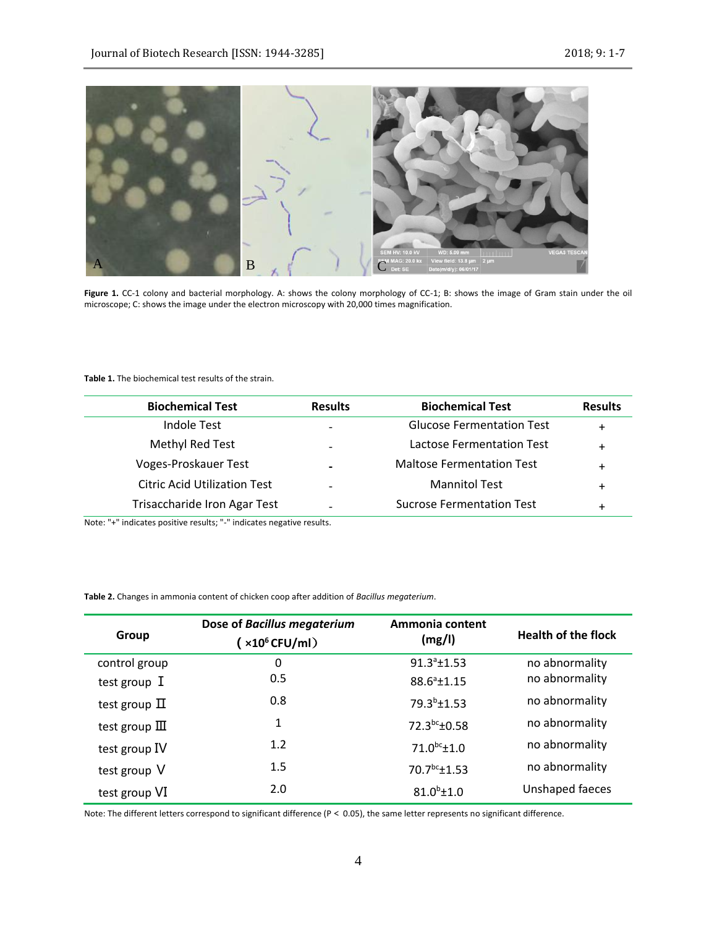

**Figure 1.** CC-1 colony and bacterial morphology. A: shows the colony morphology of CC-1; B: shows the image of Gram stain under the oil microscope; C: shows the image under the electron microscopy with 20,000 times magnification.

#### **Table 1.** The biochemical test results of the strain.

| <b>Biochemical Test</b>             | <b>Results</b> | <b>Biochemical Test</b>          | <b>Results</b> |
|-------------------------------------|----------------|----------------------------------|----------------|
| Indole Test                         |                | <b>Glucose Fermentation Test</b> | $\ddot{}$      |
| Methyl Red Test                     |                | <b>Lactose Fermentation Test</b> | $\ddot{}$      |
| Voges-Proskauer Test                |                | <b>Maltose Fermentation Test</b> | +              |
| <b>Citric Acid Utilization Test</b> |                | <b>Mannitol Test</b>             | $\ddot{}$      |
| <b>Trisaccharide Iron Agar Test</b> |                | <b>Sucrose Fermentation Test</b> | $\ddot{}$      |

Note: "+" indicates positive results; "-" indicates negative results.

**Table 2.** Changes in ammonia content of chicken coop after addition of *Bacillus megaterium*.

| Group                    | Dose of Bacillus megaterium<br>$(x10^6$ CFU/ml $)$ | Ammonia content<br>(mg/l) | <b>Health of the flock</b> |
|--------------------------|----------------------------------------------------|---------------------------|----------------------------|
| control group            | 0                                                  | $91.3a \pm 1.53$          | no abnormality             |
| test group I             | 0.5                                                | $88.6^a \pm 1.15$         | no abnormality             |
| test group $\Pi$         | 0.8                                                | 79.3 <sup>b</sup> ±1.53   | no abnormality             |
| test group $\mathbb{II}$ | 1                                                  | 72.3bc±0.58               | no abnormality             |
| test group IV            | 1.2                                                | $71.0^{bc} \pm 1.0$       | no abnormality             |
| test group V             | 1.5                                                | $70.7^{bc}$ ±1.53         | no abnormality             |
| test group VI            | 2.0                                                | $81.0^{b} \pm 1.0$        | Unshaped faeces            |

Note: The different letters correspond to significant difference (P< 0.05), the same letter represents no significant difference.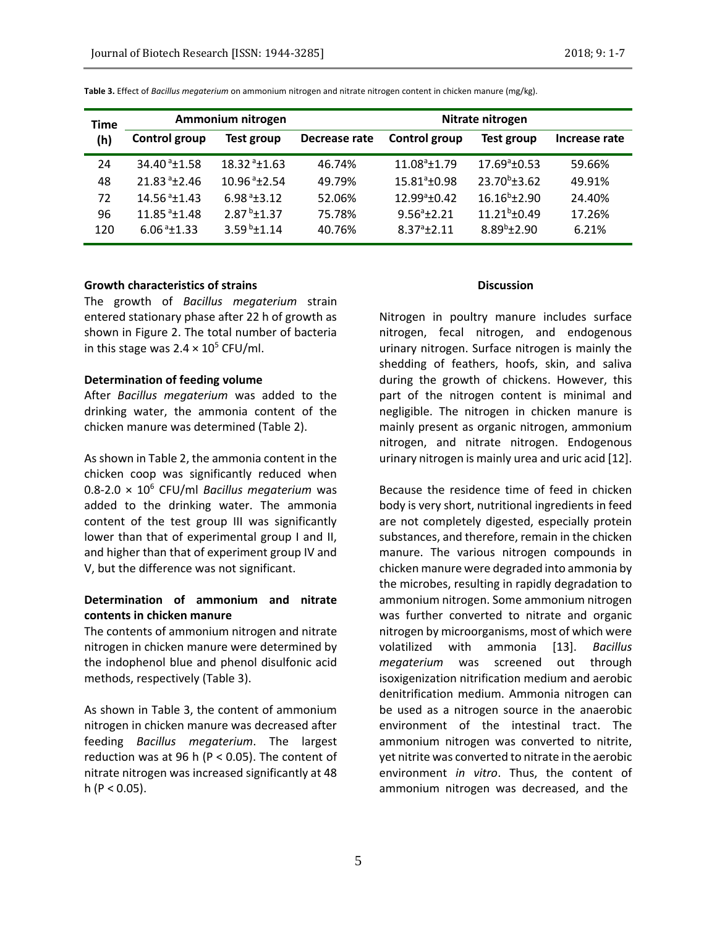| <b>Time</b><br>(h) | Ammonium nitrogen            |                            | Nitrate nitrogen |                          |                       |               |
|--------------------|------------------------------|----------------------------|------------------|--------------------------|-----------------------|---------------|
|                    | Control group                | Test group                 | Decrease rate    | Control group            | Test group            | Increase rate |
| 24                 | 34.40 <sup>a</sup> ±1.58     | $18.32^{a}+1.63$           | 46.74%           | $11.08^a \text{±} 1.79$  | $17.69^{\circ}$ ±0.53 | 59.66%        |
| 48                 | $21.83a + 2.46$              | $10.96$ <sup>a</sup> +2.54 | 49.79%           | $15.81^{\circ}$ + 0.98   | $23.70^b \pm 3.62$    | 49.91%        |
| 72                 | 14.56 <sup>a</sup> ±1.43     | $6.98a+3.12$               | 52.06%           | 12.99 <sup>a</sup> ±0.42 | $16.16^b \pm 2.90$    | 24.40%        |
| 96                 | $11.85$ <sup>a</sup> $±1.48$ | $2.87^{b} \pm 1.37$        | 75.78%           | $9.56^{a}+2.21$          | $11.21^b \pm 0.49$    | 17.26%        |
| 120                | $6.06a+1.33$                 | 3.59 $b$ <sup>+1</sup> .14 | 40.76%           | $8.37^{a}+2.11$          | $8.89^{b}$ ±2.90      | 6.21%         |

**Table 3.** Effect of *Bacillus megaterium* on ammonium nitrogen and nitrate nitrogen content in chicken manure (mg/kg).

### **Growth characteristics of strains**

The growth of *Bacillus megaterium* strain entered stationary phase after 22 h of growth as shown in Figure 2. The total number of bacteria in this stage was  $2.4 \times 10^5$  CFU/ml.

### **Determination of feeding volume**

After *Bacillus megaterium* was added to the drinking water, the ammonia content of the chicken manure was determined (Table 2).

As shown in Table 2, the ammonia content in the chicken coop was significantly reduced when 0.8-2.0 × 10<sup>6</sup> CFU/ml *Bacillus megaterium* was added to the drinking water. The ammonia content of the test group III was significantly lower than that of experimental group I and II, and higher than that of experiment group IV and V, but the difference was not significant.

# **Determination of ammonium and nitrate contents in chicken manure**

The contents of ammonium nitrogen and nitrate nitrogen in chicken manure were determined by the indophenol blue and phenol disulfonic acid methods, respectively (Table 3).

As shown in Table 3, the content of ammonium nitrogen in chicken manure was decreased after feeding *Bacillus megaterium*. The largest reduction was at 96 h (P < 0.05). The content of nitrate nitrogen was increased significantly at 48 h ( $P < 0.05$ ).

#### **Discussion**

Nitrogen in poultry manure includes surface nitrogen, fecal nitrogen, and endogenous urinary nitrogen. Surface nitrogen is mainly the shedding of feathers, hoofs, skin, and saliva during the growth of chickens. However, this part of the nitrogen content is minimal and negligible. The nitrogen in chicken manure is mainly present as organic nitrogen, ammonium nitrogen, and nitrate nitrogen. Endogenous urinary nitrogen is mainly urea and uric acid [12].

Because the residence time of feed in chicken body is very short, nutritional ingredients in feed are not completely digested, especially protein substances, and therefore, remain in the chicken manure. The various nitrogen compounds in chicken manure were degraded into ammonia by the microbes, resulting in rapidly degradation to ammonium nitrogen. Some ammonium nitrogen was further converted to nitrate and organic nitrogen by microorganisms, most of which were volatilized with ammonia [13]. *Bacillus megaterium* was screened out through isoxigenization nitrification medium and aerobic denitrification medium. Ammonia nitrogen can be used as a nitrogen source in the anaerobic environment of the intestinal tract. The ammonium nitrogen was converted to nitrite, yet nitrite was converted to nitrate in the aerobic environment *in vitro*. Thus, the content of ammonium nitrogen was decreased, and the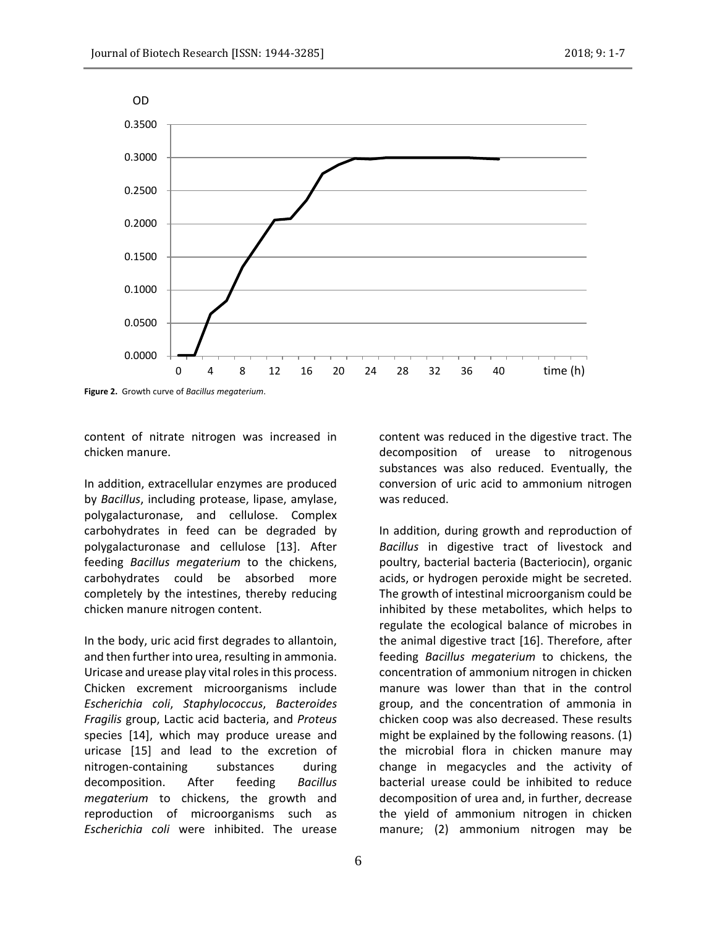

**Figure 2.** Growth curve of *Bacillus megaterium*.

content of nitrate nitrogen was increased in chicken manure.

In addition, extracellular enzymes are produced by *Bacillus*, including protease, lipase, amylase, polygalacturonase, and cellulose. Complex carbohydrates in feed can be degraded by polygalacturonase and cellulose [13]. After feeding *Bacillus megaterium* to the chickens, carbohydrates could be absorbed more completely by the intestines, thereby reducing chicken manure nitrogen content.

In the body, uric acid first degrades to allantoin, and then further into urea, resulting in ammonia. Uricase and urease play vital roles in this process. Chicken excrement microorganisms include *Escherichia coli*, *Staphylococcus*, *Bacteroides Fragilis* group, Lactic acid bacteria, and *Proteus* species [14], which may produce urease and uricase [15] and lead to the excretion of nitrogen-containing substances during decomposition. After feeding *Bacillus megaterium* to chickens, the growth and reproduction of microorganisms such as *Escherichia coli* were inhibited. The urease

content was reduced in the digestive tract. The decomposition of urease to nitrogenous substances was also reduced. Eventually, the conversion of uric acid to ammonium nitrogen was reduced.

In addition, during growth and reproduction of *Bacillus* in digestive tract of livestock and poultry, bacterial bacteria (Bacteriocin), organic acids, or hydrogen peroxide might be secreted. The growth of intestinal microorganism could be inhibited by these metabolites, which helps to regulate the ecological balance of microbes in the animal digestive tract [16]. Therefore, after feeding *Bacillus megaterium* to chickens, the concentration of ammonium nitrogen in chicken manure was lower than that in the control group, and the concentration of ammonia in chicken coop was also decreased. These results might be explained by the following reasons. (1) the microbial flora in chicken manure may change in megacycles and the activity of bacterial urease could be inhibited to reduce decomposition of urea and, in further, decrease the yield of ammonium nitrogen in chicken manure; (2) ammonium nitrogen may be